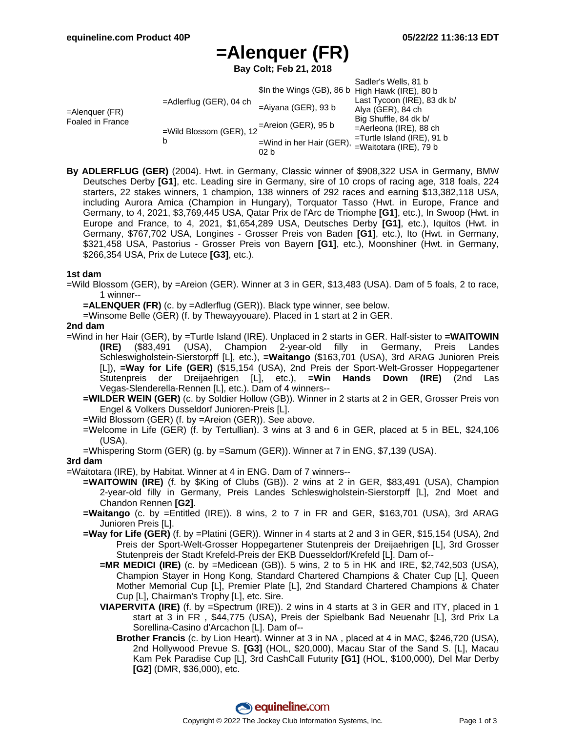# **=Alenquer (FR)**

**Bay Colt; Feb 21, 2018**

|                                    |                              |                                                                | Sadler's Wells, 81 b          |
|------------------------------------|------------------------------|----------------------------------------------------------------|-------------------------------|
| =Alenquer (FR)<br>Foaled in France | $=$ Adlerflug (GER), 04 ch   | \$In the Wings (GB), 86 b High Hawk (IRE), 80 b                |                               |
|                                    |                              |                                                                | Last Tycoon (IRE), 83 dk b/   |
|                                    |                              | $=$ Aiyana (GER), 93 b                                         | Alya (GER), 84 ch             |
|                                    | =Wild Blossom (GER), 12<br>b | $=$ Areion (GER), 95 b                                         | Big Shuffle, 84 dk b/         |
|                                    |                              |                                                                | $=$ Aerleona (IRE), 88 ch     |
|                                    |                              | =Wind in her Hair (GER), $\frac{1}{2}$ = Waitotara (IRE), 79 b | $=$ Turtle Island (IRE), 91 b |
|                                    |                              |                                                                |                               |
|                                    |                              | 02 b                                                           |                               |

**By ADLERFLUG (GER)** (2004). Hwt. in Germany, Classic winner of \$908,322 USA in Germany, BMW Deutsches Derby **[G1]**, etc. Leading sire in Germany, sire of 10 crops of racing age, 318 foals, 224 starters, 22 stakes winners, 1 champion, 138 winners of 292 races and earning \$13,382,118 USA, including Aurora Amica (Champion in Hungary), Torquator Tasso (Hwt. in Europe, France and Germany, to 4, 2021, \$3,769,445 USA, Qatar Prix de l'Arc de Triomphe **[G1]**, etc.), In Swoop (Hwt. in Europe and France, to 4, 2021, \$1,654,289 USA, Deutsches Derby **[G1]**, etc.), Iquitos (Hwt. in Germany, \$767,702 USA, Longines - Grosser Preis von Baden **[G1]**, etc.), Ito (Hwt. in Germany, \$321,458 USA, Pastorius - Grosser Preis von Bayern **[G1]**, etc.), Moonshiner (Hwt. in Germany, \$266,354 USA, Prix de Lutece **[G3]**, etc.).

#### **1st dam**

- =Wild Blossom (GER), by =Areion (GER). Winner at 3 in GER, \$13,483 (USA). Dam of 5 foals, 2 to race, 1 winner--
	- **=ALENQUER (FR)** (c. by =Adlerflug (GER)). Black type winner, see below.
	- =Winsome Belle (GER) (f. by Thewayyouare). Placed in 1 start at 2 in GER.

### **2nd dam**

- =Wind in her Hair (GER), by =Turtle Island (IRE). Unplaced in 2 starts in GER. Half-sister to **=WAITOWIN (IRE)** (\$83,491 (USA), Champion 2-year-old filly in Germany, Preis Landes Schleswigholstein-Sierstorpff [L], etc.), **=Waitango** (\$163,701 (USA), 3rd ARAG Junioren Preis [L]), **=Way for Life (GER)** (\$15,154 (USA), 2nd Preis der Sport-Welt-Grosser Hoppegartener Stutenpreis der Dreijaehrigen [L], etc.), **=Win Hands Down (IRE)** (2nd Las Vegas-Slenderella-Rennen [L], etc.). Dam of 4 winners--
	- **=WILDER WEIN (GER)** (c. by Soldier Hollow (GB)). Winner in 2 starts at 2 in GER, Grosser Preis von Engel & Volkers Dusseldorf Junioren-Preis [L].
	- =Wild Blossom (GER) (f. by =Areion (GER)). See above.
	- =Welcome in Life (GER) (f. by Tertullian). 3 wins at 3 and 6 in GER, placed at 5 in BEL, \$24,106 (USA).
	- =Whispering Storm (GER) (g. by =Samum (GER)). Winner at 7 in ENG, \$7,139 (USA).

### **3rd dam**

- =Waitotara (IRE), by Habitat. Winner at 4 in ENG. Dam of 7 winners--
	- **=WAITOWIN (IRE)** (f. by \$King of Clubs (GB)). 2 wins at 2 in GER, \$83,491 (USA), Champion 2-year-old filly in Germany, Preis Landes Schleswigholstein-Sierstorpff [L], 2nd Moet and Chandon Rennen **[G2]**.
	- **=Waitango** (c. by =Entitled (IRE)). 8 wins, 2 to 7 in FR and GER, \$163,701 (USA), 3rd ARAG Junioren Preis [L].
	- **=Way for Life (GER)** (f. by =Platini (GER)). Winner in 4 starts at 2 and 3 in GER, \$15,154 (USA), 2nd Preis der Sport-Welt-Grosser Hoppegartener Stutenpreis der Dreijaehrigen [L], 3rd Grosser Stutenpreis der Stadt Krefeld-Preis der EKB Duesseldorf/Krefeld [L]. Dam of--
		- **=MR MEDICI (IRE)** (c. by =Medicean (GB)). 5 wins, 2 to 5 in HK and IRE, \$2,742,503 (USA), Champion Stayer in Hong Kong, Standard Chartered Champions & Chater Cup [L], Queen Mother Memorial Cup [L], Premier Plate [L], 2nd Standard Chartered Champions & Chater Cup [L], Chairman's Trophy [L], etc. Sire.
		- **VIAPERVITA (IRE)** (f. by =Spectrum (IRE)). 2 wins in 4 starts at 3 in GER and ITY, placed in 1 start at 3 in FR , \$44,775 (USA), Preis der Spielbank Bad Neuenahr [L], 3rd Prix La Sorellina-Casino d'Arcachon [L]. Dam of--
			- **Brother Francis** (c. by Lion Heart). Winner at 3 in NA , placed at 4 in MAC, \$246,720 (USA), 2nd Hollywood Prevue S. **[G3]** (HOL, \$20,000), Macau Star of the Sand S. [L], Macau Kam Pek Paradise Cup [L], 3rd CashCall Futurity **[G1]** (HOL, \$100,000), Del Mar Derby **[G2]** (DMR, \$36,000), etc.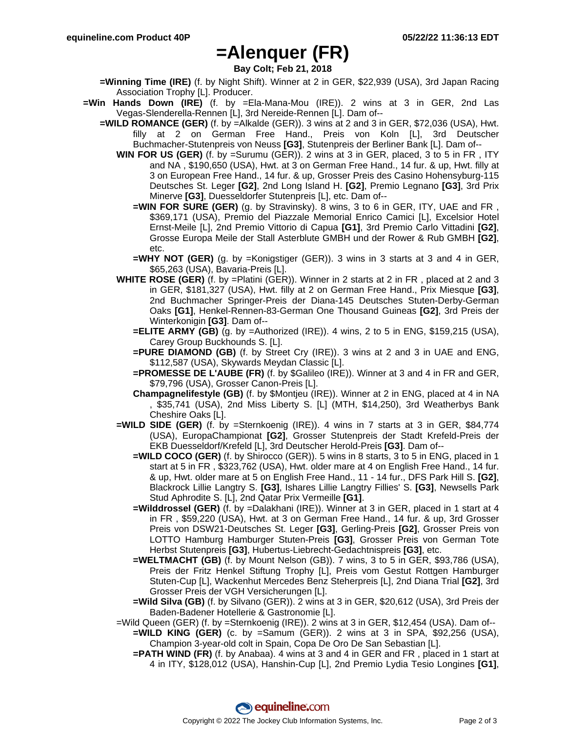## **=Alenquer (FR)**

**Bay Colt; Feb 21, 2018**

- **=Winning Time (IRE)** (f. by Night Shift). Winner at 2 in GER, \$22,939 (USA), 3rd Japan Racing Association Trophy [L]. Producer.
- **=Win Hands Down (IRE)** (f. by =Ela-Mana-Mou (IRE)). 2 wins at 3 in GER, 2nd Las Vegas-Slenderella-Rennen [L], 3rd Nereide-Rennen [L]. Dam of--
	- **=WILD ROMANCE (GER)** (f. by =Alkalde (GER)). 3 wins at 2 and 3 in GER, \$72,036 (USA), Hwt. filly at 2 on German Free Hand., Preis von Koln [L], 3rd Deutscher Buchmacher-Stutenpreis von Neuss **[G3]**, Stutenpreis der Berliner Bank [L]. Dam of--
		- **WIN FOR US (GER)** (f. by =Surumu (GER)). 2 wins at 3 in GER, placed, 3 to 5 in FR , ITY and NA , \$190,650 (USA), Hwt. at 3 on German Free Hand., 14 fur. & up, Hwt. filly at 3 on European Free Hand., 14 fur. & up, Grosser Preis des Casino Hohensyburg-115 Deutsches St. Leger **[G2]**, 2nd Long Island H. **[G2]**, Premio Legnano **[G3]**, 3rd Prix Minerve **[G3]**, Duesseldorfer Stutenpreis [L], etc. Dam of--
			- **=WIN FOR SURE (GER)** (g. by Stravinsky). 8 wins, 3 to 6 in GER, ITY, UAE and FR , \$369,171 (USA), Premio del Piazzale Memorial Enrico Camici [L], Excelsior Hotel Ernst-Meile [L], 2nd Premio Vittorio di Capua **[G1]**, 3rd Premio Carlo Vittadini **[G2]**, Grosse Europa Meile der Stall Asterblute GMBH und der Rower & Rub GMBH **[G2]**, etc.
			- **=WHY NOT (GER)** (g. by =Konigstiger (GER)). 3 wins in 3 starts at 3 and 4 in GER, \$65,263 (USA), Bavaria-Preis [L].
		- **WHITE ROSE (GER)** (f. by =Platini (GER)). Winner in 2 starts at 2 in FR , placed at 2 and 3 in GER, \$181,327 (USA), Hwt. filly at 2 on German Free Hand., Prix Miesque **[G3]**, 2nd Buchmacher Springer-Preis der Diana-145 Deutsches Stuten-Derby-German Oaks **[G1]**, Henkel-Rennen-83-German One Thousand Guineas **[G2]**, 3rd Preis der Winterkonigin **[G3]**. Dam of--
			- **=ELITE ARMY (GB)** (g. by =Authorized (IRE)). 4 wins, 2 to 5 in ENG, \$159,215 (USA), Carey Group Buckhounds S. [L].
			- **=PURE DIAMOND (GB)** (f. by Street Cry (IRE)). 3 wins at 2 and 3 in UAE and ENG, \$112,587 (USA), Skywards Meydan Classic [L].
			- **=PROMESSE DE L'AUBE (FR)** (f. by \$Galileo (IRE)). Winner at 3 and 4 in FR and GER, \$79,796 (USA), Grosser Canon-Preis [L].
			- **Champagnelifestyle (GB)** (f. by \$Montjeu (IRE)). Winner at 2 in ENG, placed at 4 in NA , \$35,741 (USA), 2nd Miss Liberty S. [L] (MTH, \$14,250), 3rd Weatherbys Bank Cheshire Oaks [L].
		- **=WILD SIDE (GER)** (f. by =Sternkoenig (IRE)). 4 wins in 7 starts at 3 in GER, \$84,774 (USA), EuropaChampionat **[G2]**, Grosser Stutenpreis der Stadt Krefeld-Preis der EKB Duesseldorf/Krefeld [L], 3rd Deutscher Herold-Preis **[G3]**. Dam of--
			- **=WILD COCO (GER)** (f. by Shirocco (GER)). 5 wins in 8 starts, 3 to 5 in ENG, placed in 1 start at 5 in FR , \$323,762 (USA), Hwt. older mare at 4 on English Free Hand., 14 fur. & up, Hwt. older mare at 5 on English Free Hand., 11 - 14 fur., DFS Park Hill S. **[G2]**, Blackrock Lillie Langtry S. **[G3]**, Ishares Lillie Langtry Fillies' S. **[G3]**, Newsells Park Stud Aphrodite S. [L], 2nd Qatar Prix Vermeille **[G1]**.
			- **=Wilddrossel (GER)** (f. by =Dalakhani (IRE)). Winner at 3 in GER, placed in 1 start at 4 in FR , \$59,220 (USA), Hwt. at 3 on German Free Hand., 14 fur. & up, 3rd Grosser Preis von DSW21-Deutsches St. Leger **[G3]**, Gerling-Preis **[G2]**, Grosser Preis von LOTTO Hamburg Hamburger Stuten-Preis **[G3]**, Grosser Preis von German Tote Herbst Stutenpreis **[G3]**, Hubertus-Liebrecht-Gedachtnispreis **[G3]**, etc.
			- **=WELTMACHT (GB)** (f. by Mount Nelson (GB)). 7 wins, 3 to 5 in GER, \$93,786 (USA), Preis der Fritz Henkel Stiftung Trophy [L], Preis vom Gestut Rottgen Hamburger Stuten-Cup [L], Wackenhut Mercedes Benz Steherpreis [L], 2nd Diana Trial **[G2]**, 3rd Grosser Preis der VGH Versicherungen [L].
			- **=Wild Silva (GB)** (f. by Silvano (GER)). 2 wins at 3 in GER, \$20,612 (USA), 3rd Preis der Baden-Badener Hotellerie & Gastronomie [L].
		- =Wild Queen (GER) (f. by =Sternkoenig (IRE)). 2 wins at 3 in GER, \$12,454 (USA). Dam of--
			- **=WILD KING (GER)** (c. by =Samum (GER)). 2 wins at 3 in SPA, \$92,256 (USA), Champion 3-year-old colt in Spain, Copa De Oro De San Sebastian [L].
			- **=PATH WIND (FR)** (f. by Anabaa). 4 wins at 3 and 4 in GER and FR , placed in 1 start at 4 in ITY, \$128,012 (USA), Hanshin-Cup [L], 2nd Premio Lydia Tesio Longines **[G1]**,